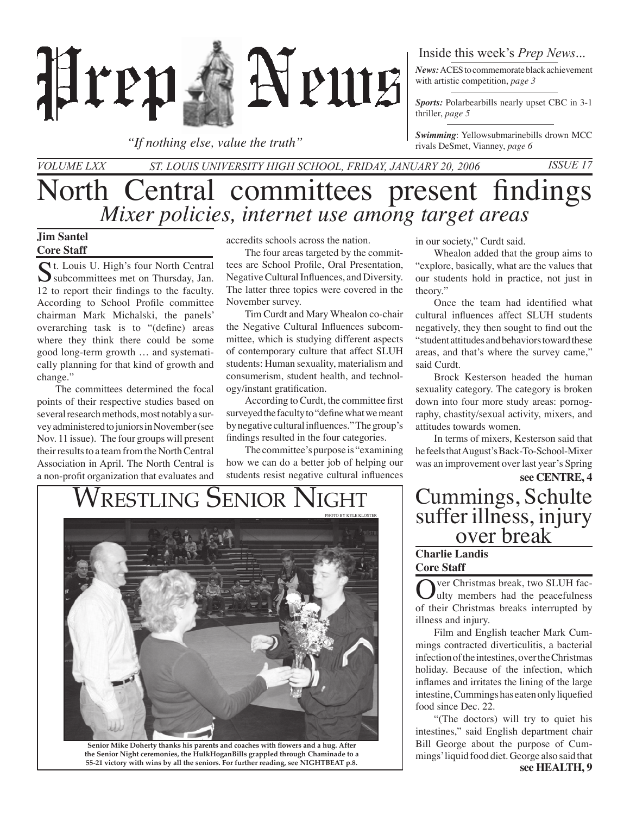

*"If nothing else, value the truth"*

## Inside this week's *Prep News*...

*News:* ACES to commemorate black achievement with artistic competition, *page 3*

*Sports:* Polarbearbills nearly upset CBC in 3-1 thriller, *page 5*

*Swimming*: Yellowsubmarinebills drown MCC rivals DeSmet, Vianney, *page 6*

## North Central committees present findings *Volume LXX St. Louis University High School, Friday, January 20, 2006 Issue 17 Mixer policies, internet use among target areas*

## **Jim Santel Core Staff**

St. Louis U. High's four North Central<br>
subcommittees met on Thursday, Jan. 12 to report their findings to the faculty. According to School Profile committee chairman Mark Michalski, the panels' overarching task is to "(define) areas where they think there could be some good long-term growth … and systematically planning for that kind of growth and change."

The committees determined the focal points of their respective studies based on several research methods, most notably a survey administered to juniors in November (see Nov. 11 issue). The four groups will present their results to a team from the North Central Association in April. The North Central is a non-profit organization that evaluates and

accredits schools across the nation.

The four areas targeted by the committees are School Profile, Oral Presentation, Negative Cultural Influences, and Diversity. The latter three topics were covered in the November survey.

Tim Curdt and Mary Whealon co-chair the Negative Cultural Influences subcommittee, which is studying different aspects of contemporary culture that affect SLUH students: Human sexuality, materialism and consumerism, student health, and technology/instant gratification.

According to Curdt, the committee first surveyed the faculty to "define what we meant by negative cultural influences." The group's findings resulted in the four categories.

The committee's purpose is "examining how we can do a better job of helping our students resist negative cultural influences

in our society," Curdt said.

Whealon added that the group aims to "explore, basically, what are the values that our students hold in practice, not just in theory."

Once the team had identified what cultural influences affect SLUH students negatively, they then sought to find out the "student attitudes and behaviors toward these areas, and that's where the survey came," said Curdt.

Brock Kesterson headed the human sexuality category. The category is broken down into four more study areas: pornography, chastity/sexual activity, mixers, and attitudes towards women.

In terms of mixers, Kesterson said that he feels that August's Back-To-School-Mixer was an improvement over last year's Spring

# WRESTLING SENIOR NIGHT | Cummings, Schulte



**Senior Mike Doherty thanks his parents and coaches with flowers and a hug. After the Senior Night ceremonies, the HulkHoganBills grappled through Chaminade to a 55-21 victory with wins by all the seniors. For further reading, see NIGHTBEAT p.8.**

# **see CENTRE, 4** suffer illness, injury<br><u>over break</u>

### **Charlie Landis Core Staff**

ver Christmas break, two SLUH faculty members had the peacefulness of their Christmas breaks interrupted by illness and injury.

 Film and English teacher Mark Cummings contracted diverticulitis, a bacterial infection of the intestines, over the Christmas holiday. Because of the infection, which inflames and irritates the lining of the large intestine, Cummings has eaten only liquefied food since Dec. 22.

**see HEALTH, 9** "(The doctors) will try to quiet his intestines," said English department chair Bill George about the purpose of Cummings' liquid food diet. George also said that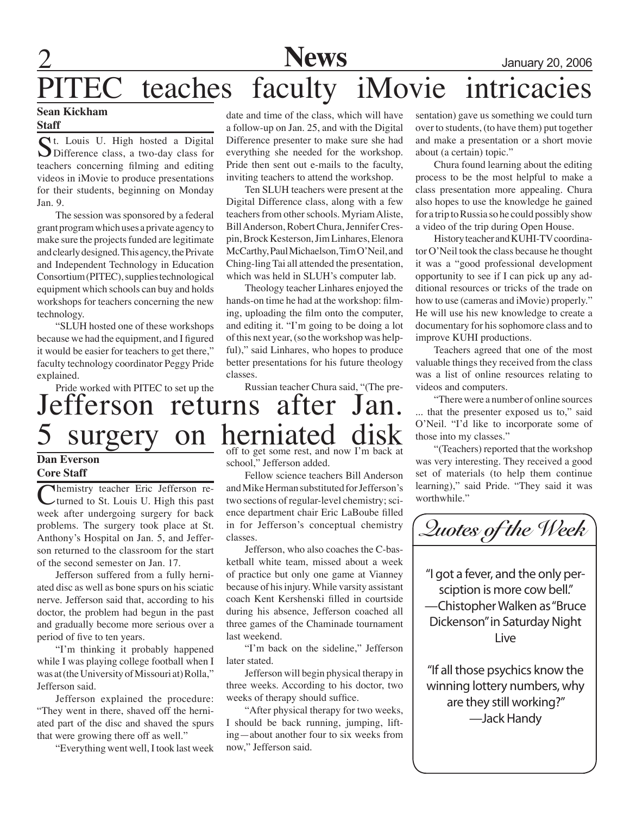# **News** January 20, 2006 **FC** teaches faculty iMovie intricacies

### **Sean Kickham Staff**

St. Louis U. High hosted a Digital<br>Difference class, a two-day class for teachers concerning filming and editing videos in iMovie to produce presentations for their students, beginning on Monday Jan. 9.

The session was sponsored by a federal grant program which uses a private agency to make sure the projects funded are legitimate and clearly designed. This agency, the Private and Independent Technology in Education Consortium (PITEC), supplies technological equipment which schools can buy and holds workshops for teachers concerning the new technology.

"SLUH hosted one of these workshops because we had the equipment, and I figured it would be easier for teachers to get there," faculty technology coordinator Peggy Pride explained.

Pride worked with PITEC to set up the

date and time of the class, which will have a follow-up on Jan. 25, and with the Digital Difference presenter to make sure she had everything she needed for the workshop. Pride then sent out e-mails to the faculty, inviting teachers to attend the workshop.

 Ten SLUH teachers were present at the Digital Difference class, along with a few teachers from other schools. Myriam Aliste, Bill Anderson, Robert Chura, Jennifer Crespin, Brock Kesterson, Jim Linhares, Elenora McCarthy, Paul Michaelson, Tim O'Neil, and Ching-ling Tai all attended the presentation, which was held in SLUH's computer lab.

Theology teacher Linhares enjoyed the hands-on time he had at the workshop: filming, uploading the film onto the computer, and editing it. "I'm going to be doing a lot of this next year, (so the workshop was helpful)," said Linhares, who hopes to produce better presentations for his future theology classes.

Russian teacher Chura said, "(The pre-

Jefferson returns after Jan. surgery on herniated

## **Dan Everson Core Staff**

**Nhemistry teacher Eric Jefferson re**turned to St. Louis U. High this past week after undergoing surgery for back problems. The surgery took place at St. Anthony's Hospital on Jan. 5, and Jefferson returned to the classroom for the start of the second semester on Jan. 17.

Jefferson suffered from a fully herniated disc as well as bone spurs on his sciatic nerve. Jefferson said that, according to his doctor, the problem had begun in the past and gradually become more serious over a period of five to ten years.

"I'm thinking it probably happened while I was playing college football when I was at (the University of Missouri at) Rolla," Jefferson said.

Jefferson explained the procedure: "They went in there, shaved off the herniated part of the disc and shaved the spurs that were growing there off as well."

"Everything went well, I took last week

off to get some rest, and now I'm back at school," Jefferson added.

Fellow science teachers Bill Anderson and Mike Herman substituted for Jefferson's two sections of regular-level chemistry; science department chair Eric LaBoube filled in for Jefferson's conceptual chemistry classes.

Jefferson, who also coaches the C-basketball white team, missed about a week of practice but only one game at Vianney because of his injury. While varsity assistant coach Kent Kershenski filled in courtside during his absence, Jefferson coached all three games of the Chaminade tournament last weekend.

"I'm back on the sideline," Jefferson later stated.

Jefferson will begin physical therapy in three weeks. According to his doctor, two weeks of therapy should suffice.

"After physical therapy for two weeks, I should be back running, jumping, lifting—about another four to six weeks from now," Jefferson said.

sentation) gave us something we could turn over to students, (to have them) put together and make a presentation or a short movie about (a certain) topic."

Chura found learning about the editing process to be the most helpful to make a class presentation more appealing. Chura also hopes to use the knowledge he gained for a trip to Russia so he could possibly show a video of the trip during Open House.

History teacher and KUHI-TV coordinator O'Neil took the class because he thought it was a "good professional development opportunity to see if I can pick up any additional resources or tricks of the trade on how to use (cameras and iMovie) properly." He will use his new knowledge to create a documentary for his sophomore class and to improve KUHI productions.

Teachers agreed that one of the most valuable things they received from the class was a list of online resources relating to videos and computers.

"There were a number of online sources ... that the presenter exposed us to," said O'Neil. "I'd like to incorporate some of those into my classes."

"(Teachers) reported that the workshop was very interesting. They received a good set of materials (to help them continue learning)," said Pride. "They said it was worthwhile."

*Quotes of the Week* "I got a fever, and the only persciption is more cow bell." —Chistopher Walken as "Bruce Dickenson" in Saturday Night Live "If all those psychics know the winning lottery numbers, why are they still working?" —Jack Handy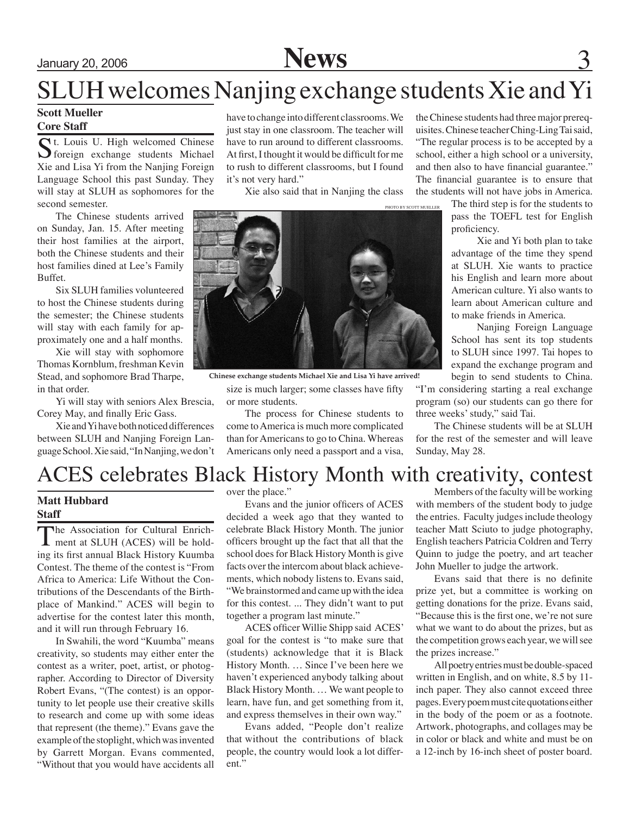## January 20, 2006 **News**

## SLUH welcomes Nanjing exchange students Xie and Yi

### **Scott Mueller Core Staff**

St. Louis U. High welcomed Chinese<br>
Streegn exchange students Michael Xie and Lisa Yi from the Nanjing Foreign Language School this past Sunday. They will stay at SLUH as sophomores for the second semester.

The Chinese students arrived on Sunday, Jan. 15. After meeting their host families at the airport, both the Chinese students and their host families dined at Lee's Family Buffet.

Six SLUH families volunteered to host the Chinese students during the semester; the Chinese students will stay with each family for approximately one and a half months.

Xie will stay with sophomore Thomas Kornblum, freshman Kevin Stead, and sophomore Brad Tharpe, in that order.

Yi will stay with seniors Alex Brescia, Corey May, and finally Eric Gass.

Xie and Yi have both noticed differences between SLUH and Nanjing Foreign Language School. Xie said, "In Nanjing, we don't

have to change into different classrooms. We just stay in one classroom. The teacher will have to run around to different classrooms. At first, I thought it would be difficult for me to rush to different classrooms, but I found it's not very hard."

Xie also said that in Nanjing the class



**Chinese exchange students Michael Xie and Lisa Yi have arrived!**

size is much larger; some classes have fifty or more students.

The process for Chinese students to come to America is much more complicated than for Americans to go to China. Whereas Americans only need a passport and a visa, the Chinese students had three major prerequisites. Chinese teacher Ching-Ling Tai said, "The regular process is to be accepted by a school, either a high school or a university, and then also to have financial guarantee." The financial guarantee is to ensure that the students will not have jobs in America.

> The third step is for the students to pass the TOEFL test for English proficiency.

> Xie and Yi both plan to take advantage of the time they spend at SLUH. Xie wants to practice his English and learn more about American culture. Yi also wants to learn about American culture and to make friends in America.

> Nanjing Foreign Language School has sent its top students to SLUH since 1997. Tai hopes to expand the exchange program and begin to send students to China.

"I'm considering starting a real exchange program (so) our students can go there for three weeks' study," said Tai.

The Chinese students will be at SLUH for the rest of the semester and will leave Sunday, May 28.

## ACES celebrates Black History Month with creativity, contest

## **Matt Hubbard Staff**

The Association for Cultural Enrich-<br>
ment at SLUH (ACES) will be holding its first annual Black History Kuumba Contest. The theme of the contest is "From Africa to America: Life Without the Contributions of the Descendants of the Birthplace of Mankind." ACES will begin to advertise for the contest later this month, and it will run through February 16.

In Swahili, the word "Kuumba" means creativity, so students may either enter the contest as a writer, poet, artist, or photographer. According to Director of Diversity Robert Evans, "(The contest) is an opportunity to let people use their creative skills to research and come up with some ideas that represent (the theme)." Evans gave the example of the stoplight, which was invented by Garrett Morgan. Evans commented, "Without that you would have accidents all

over the place."

Evans and the junior officers of ACES decided a week ago that they wanted to celebrate Black History Month. The junior officers brought up the fact that all that the school does for Black History Month is give facts over the intercom about black achievements, which nobody listens to. Evans said, "We brainstormed and came up with the idea for this contest. ... They didn't want to put together a program last minute."

ACES officer Willie Shipp said ACES' goal for the contest is "to make sure that (students) acknowledge that it is Black History Month. … Since I've been here we haven't experienced anybody talking about Black History Month. … We want people to learn, have fun, and get something from it, and express themselves in their own way."

Evans added, "People don't realize that without the contributions of black people, the country would look a lot different."

Members of the faculty will be working with members of the student body to judge the entries. Faculty judges include theology teacher Matt Sciuto to judge photography, English teachers Patricia Coldren and Terry Quinn to judge the poetry, and art teacher John Mueller to judge the artwork.

Evans said that there is no definite prize yet, but a committee is working on getting donations for the prize. Evans said, "Because this is the first one, we're not sure what we want to do about the prizes, but as the competition grows each year, we will see the prizes increase."

All poetry entries must be double-spaced written in English, and on white, 8.5 by 11 inch paper. They also cannot exceed three pages. Every poem must cite quotations either in the body of the poem or as a footnote. Artwork, photographs, and collages may be in color or black and white and must be on a 12-inch by 16-inch sheet of poster board.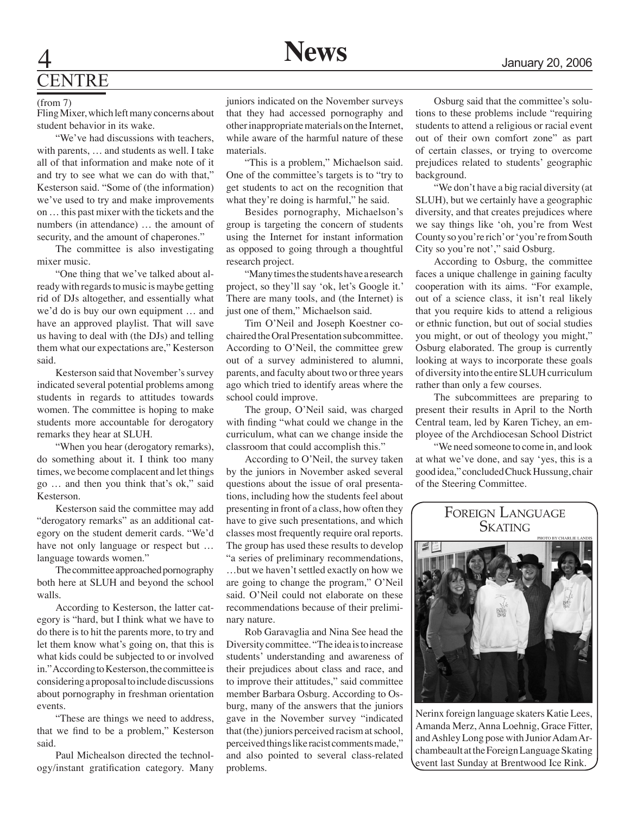## **ENTRE**

#### (from 7)

Fling Mixer, which left many concerns about student behavior in its wake.

"We've had discussions with teachers, with parents, … and students as well. I take all of that information and make note of it and try to see what we can do with that," Kesterson said. "Some of (the information) we've used to try and make improvements on … this past mixer with the tickets and the numbers (in attendance) … the amount of security, and the amount of chaperones."

The committee is also investigating mixer music.

"One thing that we've talked about already with regards to music is maybe getting rid of DJs altogether, and essentially what we'd do is buy our own equipment … and have an approved playlist. That will save us having to deal with (the DJs) and telling them what our expectations are," Kesterson said.

Kesterson said that November's survey indicated several potential problems among students in regards to attitudes towards women. The committee is hoping to make students more accountable for derogatory remarks they hear at SLUH.

"When you hear (derogatory remarks), do something about it. I think too many times, we become complacent and let things go … and then you think that's ok," said Kesterson.

Kesterson said the committee may add "derogatory remarks" as an additional category on the student demerit cards. "We'd have not only language or respect but … language towards women."

The committee approached pornography both here at SLUH and beyond the school walls.

According to Kesterson, the latter category is "hard, but I think what we have to do there is to hit the parents more, to try and let them know what's going on, that this is what kids could be subjected to or involved in." According to Kesterson, the committee is considering a proposal to include discussions about pornography in freshman orientation events.

"These are things we need to address, that we find to be a problem," Kesterson said.

Paul Michealson directed the technology/instant gratification category. Many juniors indicated on the November surveys that they had accessed pornography and other inappropriate materials on the Internet, while aware of the harmful nature of these materials.

"This is a problem," Michaelson said. One of the committee's targets is to "try to get students to act on the recognition that what they're doing is harmful," he said.

Besides pornography, Michaelson's group is targeting the concern of students using the Internet for instant information as opposed to going through a thoughtful research project.

"Many times the students have a research project, so they'll say 'ok, let's Google it.' There are many tools, and (the Internet) is just one of them," Michaelson said.

Tim O'Neil and Joseph Koestner cochaired the Oral Presentation subcommittee. According to O'Neil, the committee grew out of a survey administered to alumni, parents, and faculty about two or three years ago which tried to identify areas where the school could improve.

The group, O'Neil said, was charged with finding "what could we change in the curriculum, what can we change inside the classroom that could accomplish this."

According to O'Neil, the survey taken by the juniors in November asked several questions about the issue of oral presentations, including how the students feel about presenting in front of a class, how often they have to give such presentations, and which classes most frequently require oral reports. The group has used these results to develop "a series of preliminary recommendations, …but we haven't settled exactly on how we are going to change the program," O'Neil said. O'Neil could not elaborate on these recommendations because of their preliminary nature.

Rob Garavaglia and Nina See head the Diversity committee. "The idea is to increase students' understanding and awareness of their prejudices about class and race, and to improve their attitudes," said committee member Barbara Osburg. According to Osburg, many of the answers that the juniors gave in the November survey "indicated that (the) juniors perceived racism at school, perceived things like racist comments made," and also pointed to several class-related problems.

Osburg said that the committee's solutions to these problems include "requiring students to attend a religious or racial event out of their own comfort zone" as part of certain classes, or trying to overcome prejudices related to students' geographic background.

"We don't have a big racial diversity (at SLUH), but we certainly have a geographic diversity, and that creates prejudices where we say things like 'oh, you're from West County so you're rich' or 'you're from South City so you're not'," said Osburg.

According to Osburg, the committee faces a unique challenge in gaining faculty cooperation with its aims. "For example, out of a science class, it isn't real likely that you require kids to attend a religious or ethnic function, but out of social studies you might, or out of theology you might," Osburg elaborated. The group is currently looking at ways to incorporate these goals of diversity into the entire SLUH curriculum rather than only a few courses.

The subcommittees are preparing to present their results in April to the North Central team, led by Karen Tichey, an employee of the Archdiocesan School District

"We need someone to come in, and look at what we've done, and say 'yes, this is a good idea," concluded Chuck Hussung, chair of the Steering Committee.



Nerinx foreign language skaters Katie Lees, Amanda Merz, Anna Loehnig, Grace Fitter, and Ashley Long pose with Junior Adam Archambeault at the Foreign Language Skating event last Sunday at Brentwood Ice Rink.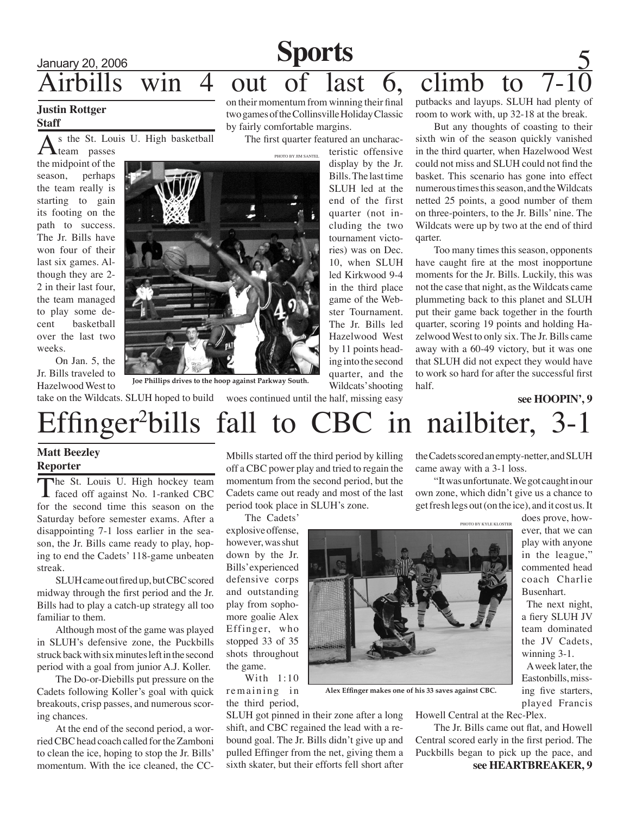## $\begin{array}{c|c}\n\text{January 20, 2006} & \text{SDOTUS} \\
\hline\n\text{1: } 1 & 1 & 7 & 4\n\end{array}$ Airbills win 4 out of last 6, climb to 7-10 **Sports**

### **Justin Rottger Staff**

s the St. Louis U. High basketball team passes

the midpoint of the season, perhaps the team really is starting to gain its footing on the path to success. The Jr. Bills have won four of their last six games. Although they are 2- 2 in their last four, the team managed to play some decent basketball over the last two weeks.

On Jan. 5, the Jr. Bills traveled to Hazelwood West to on their momentum from winning their final two games of the Collinsville Holiday Classic by fairly comfortable margins.

The first quarter featured an uncharac-

teristic offensive display by the Jr. Bills. The last time SLUH led at the end of the first quarter (not including the two tournament victories) was on Dec. 10, when SLUH led Kirkwood 9-4 in the third place game of the Webster Tournament. The Jr. Bills led Hazelwood West by 11 points heading into the second quarter, and the Wildcats' shooting putbacks and layups. SLUH had plenty of room to work with, up 32-18 at the break.

But any thoughts of coasting to their sixth win of the season quickly vanished in the third quarter, when Hazelwood West could not miss and SLUH could not find the basket. This scenario has gone into effect numerous times this season, and the Wildcats netted 25 points, a good number of them on three-pointers, to the Jr. Bills' nine. The Wildcats were up by two at the end of third qarter.

Too many times this season, opponents have caught fire at the most inopportune moments for the Jr. Bills. Luckily, this was not the case that night, as the Wildcats came plummeting back to this planet and SLUH put their game back together in the fourth quarter, scoring 19 points and holding Hazelwood West to only six. The Jr. Bills came away with a 60-49 victory, but it was one that SLUH did not expect they would have to work so hard for after the successful first

Joe Phillips drives to the hoop against Parkway South.<br>Wildcats's hooting half.

take on the Wildcats. SLUH hoped to build woes continued until the half, missing easy

## Effinger<sup>2</sup>bills fall to CBC in nailbiter, 3-1

## **Matt Beezley Reporter**

The St. Louis U. High hockey team<br>
faced off against No. 1-ranked CBC for the second time this season on the Saturday before semester exams. After a disappointing 7-1 loss earlier in the season, the Jr. Bills came ready to play, hoping to end the Cadets' 118-game unbeaten streak.

SLUH came out fired up, but CBC scored midway through the first period and the Jr. Bills had to play a catch-up strategy all too familiar to them.

Although most of the game was played in SLUH's defensive zone, the Puckbills struck back with six minutes left in the second period with a goal from junior A.J. Koller.

The Do-or-Diebills put pressure on the Cadets following Koller's goal with quick breakouts, crisp passes, and numerous scoring chances.

At the end of the second period, a worried CBC head coach called for the Zamboni to clean the ice, hoping to stop the Jr. Bills' momentum. With the ice cleaned, the CC-

Mbills started off the third period by killing off a CBC power play and tried to regain the momentum from the second period, but the Cadets came out ready and most of the last period took place in SLUH's zone.

The Cadets' explosive offense, however, was shut down by the Jr. Bills' experienced defensive corps and outstanding play from sophomore goalie Alex Effinger, who stopped 33 of 35 shots throughout the game.

With 1:10 remaining in the third period,

SLUH got pinned in their zone after a long shift, and CBC regained the lead with a rebound goal. The Jr. Bills didn't give up and pulled Effinger from the net, giving them a sixth skater, but their efforts fell short after the Cadets scored an empty-netter, and SLUH came away with a 3-1 loss.

"It was unfortunate. We got caught in our own zone, which didn't give us a chance to get fresh legs out (on the ice), and it cost us. It

> The next night, a fiery SLUH JV team dominated the JV Cadets, winning 3-1. A week later, the

Eastonbills, missing five starters, played Francis

Howell Central at the Rec-Plex.

**see HEARTBREAKER, 9** The Jr. Bills came out flat, and Howell Central scored early in the first period. The Puckbills began to pick up the pace, and

does prove, however, that we can play with anyone in the league," commented head coach Charlie Busenhart.

**see HOOPIN', 9**

photo by kyle kloster



**Alex Effinger makes one of his 33 saves against CBC.**

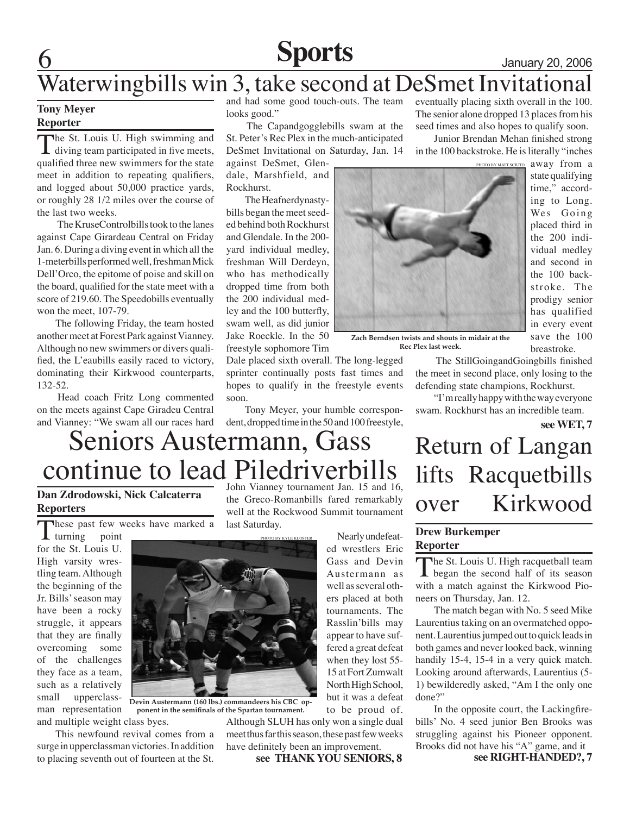## **Sports** January 20, 2006

## Waterwingbills win 3, take second at DeSmet Invitational

## **Tony Meyer Reporter**

The St. Louis U. High swimming and diving team participated in five meets, qualified three new swimmers for the state meet in addition to repeating qualifiers, and logged about 50,000 practice yards, or roughly 28 1/2 miles over the course of the last two weeks.

 The KruseControlbills took to the lanes against Cape Girardeau Central on Friday Jan. 6. During a diving event in which all the 1-meterbills performed well, freshman Mick Dell'Orco, the epitome of poise and skill on the board, qualified for the state meet with a score of 219.60. The Speedobills eventually won the meet, 107-79.

The following Friday, the team hosted another meet at Forest Park against Vianney. Although no new swimmers or divers qualified, the L'eaubills easily raced to victory, dominating their Kirkwood counterparts, 132-52.

 Head coach Fritz Long commented on the meets against Cape Giradeu Central and Vianney: "We swam all our races hard and had some good touch-outs. The team looks good."

 The Capandgogglebills swam at the St. Peter's Rec Plex in the much-anticipated DeSmet Invitational on Saturday, Jan. 14

against DeSmet, Glendale, Marshfield, and Rockhurst.

The Heafnerdynastybills began the meet seeded behind both Rockhurst and Glendale. In the 200 yard individual medley, freshman Will Derdeyn, who has methodically dropped time from both the 200 individual medley and the 100 butterfly, swam well, as did junior Jake Roeckle. In the 50 freestyle sophomore Tim

Dale placed sixth overall. The long-legged sprinter continually posts fast times and hopes to qualify in the freestyle events soon.

Tony Meyer, your humble correspondent, dropped time in the 50 and 100 freestyle, eventually placing sixth overall in the 100. The senior alone dropped 13 places from his seed times and also hopes to qualify soon.

Junior Brendan Mehan finished strong in the 100 backstroke. He is literally "inches



away from a state qualifying time," according to Long. Wes Going placed third in the 200 individual medley and second in the 100 backstroke. The prodigy senior has qualified in every event save the 100 breastroke.

**Zach Berndsen twists and shouts in midair at the Rec Plex last week.** 

 The StillGoingandGoingbills finished the meet in second place, only losing to the defending state champions, Rockhurst.

"I'm really happy with the way everyone swam. Rockhurst has an incredible team.

**see WET, 7**

## Seniors Austermann, Gass continue to lead Piledriverbills

## **Dan Zdrodowski, Nick Calcaterra Reporters**

These past few weeks have marked a turning point

 $\mathbf 1$  turning for the St. Louis U. High varsity wrestling team. Although the beginning of the Jr. Bills' season may have been a rocky struggle, it appears that they are finally overcoming some of the challenges they face as a team, such as a relatively small upperclassman representation and multiple weight class byes. John Vianney tournament Jan. 15 and 16, the Greco-Romanbills fared remarkably well at the Rockwood Summit tournament last Saturday.



**Devin Austermann (160 lbs.) commandeers his CBC opponent in the semifinals of the Spartan tournament.**

This newfound revival comes from a surge in upperclassman victories. In addition to placing seventh out of fourteen at the St.

Nearly undefeated wrestlers Eric Gass and Devin Austermann as well as several others placed at both tournaments. The Rasslin'bills may appear to have suffered a great defeat when they lost 55- 15 at Fort Zumwalt North High School,

but it was a defeat to be proud of.

Although SLUH has only won a single dual meet thus far this season, these past few weeks have definitely been an improvement.

**see THANK YOU SENIORS, 8**

## Return of Langan lifts Racquetbills over Kirkwood

## **Drew Burkemper Reporter**

The St. Louis U. High racquetball team began the second half of its season with a match against the Kirkwood Pioneers on Thursday, Jan. 12.

The match began with No. 5 seed Mike Laurentius taking on an overmatched opponent. Laurentius jumped out to quick leads in both games and never looked back, winning handily 15-4, 15-4 in a very quick match. Looking around afterwards, Laurentius (5- 1) bewilderedly asked, "Am I the only one done?"

In the opposite court, the Lackingfirebills' No. 4 seed junior Ben Brooks was struggling against his Pioneer opponent. Brooks did not have his "A" game, and it **see RIGHT-HANDED?, 7**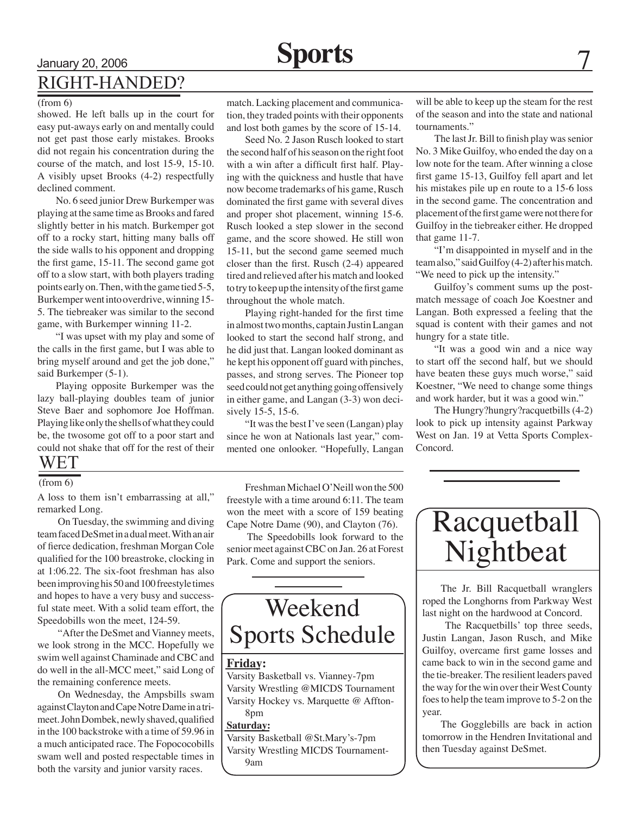# Right-Handed?

#### (from 6)

showed. He left balls up in the court for easy put-aways early on and mentally could not get past those early mistakes. Brooks did not regain his concentration during the course of the match, and lost 15-9, 15-10. A visibly upset Brooks (4-2) respectfully declined comment.

No. 6 seed junior Drew Burkemper was playing at the same time as Brooks and fared slightly better in his match. Burkemper got off to a rocky start, hitting many balls off the side walls to his opponent and dropping the first game, 15-11. The second game got off to a slow start, with both players trading points early on. Then, with the game tied 5-5, Burkemper went into overdrive, winning 15- 5. The tiebreaker was similar to the second game, with Burkemper winning 11-2.

"I was upset with my play and some of the calls in the first game, but I was able to bring myself around and get the job done," said Burkemper (5-1).

Playing opposite Burkemper was the lazy ball-playing doubles team of junior Steve Baer and sophomore Joe Hoffman. Playing like only the shells of what they could be, the twosome got off to a poor start and could not shake that off for the rest of their

## WET

### (from 6)

A loss to them isn't embarrassing at all," remarked Long.

 On Tuesday, the swimming and diving team faced DeSmet in a dual meet. With an air of fierce dedication, freshman Morgan Cole qualified for the 100 breastroke, clocking in at 1:06.22. The six-foot freshman has also been improving his 50 and 100 freestyle times and hopes to have a very busy and successful state meet. With a solid team effort, the Speedobills won the meet, 124-59.

 "After the DeSmet and Vianney meets, we look strong in the MCC. Hopefully we swim well against Chaminade and CBC and do well in the all-MCC meet," said Long of the remaining conference meets.

 On Wednesday, the Ampsbills swam against Clayton and Cape Notre Dame in a trimeet. John Dombek, newly shaved, qualified in the 100 backstroke with a time of 59.96 in a much anticipated race. The Fopococobills swam well and posted respectable times in both the varsity and junior varsity races.

match. Lacking placement and communication, they traded points with their opponents and lost both games by the score of 15-14.

Seed No. 2 Jason Rusch looked to start the second half of his season on the right foot with a win after a difficult first half. Playing with the quickness and hustle that have now become trademarks of his game, Rusch dominated the first game with several dives and proper shot placement, winning 15-6. Rusch looked a step slower in the second game, and the score showed. He still won 15-11, but the second game seemed much closer than the first. Rusch (2-4) appeared tired and relieved after his match and looked to try to keep up the intensity of the first game throughout the whole match.

Playing right-handed for the first time in almost two months, captain Justin Langan looked to start the second half strong, and he did just that. Langan looked dominant as he kept his opponent off guard with pinches, passes, and strong serves. The Pioneer top seed could not get anything going offensively in either game, and Langan (3-3) won decisively 15-5, 15-6.

"It was the best I've seen (Langan) play since he won at Nationals last year," commented one onlooker. "Hopefully, Langan

Freshman Michael O'Neill won the 500 freestyle with a time around 6:11. The team won the meet with a score of 159 beating Cape Notre Dame (90), and Clayton (76).

 The Speedobills look forward to the senior meet against CBC on Jan. 26 at Forest Park. Come and support the seniors.

## Weekend Sports Schedule

## **Friday:**

Varsity Basketball vs. Vianney-7pm Varsity Wrestling @MICDS Tournament Varsity Hockey vs. Marquette @ Affton-8pm

#### **Saturday:**

Varsity Basketball @St.Mary's-7pm Varsity Wrestling MICDS Tournament-9am

will be able to keep up the steam for the rest of the season and into the state and national tournaments."

The last Jr. Bill to finish play was senior No. 3 Mike Guilfoy, who ended the day on a low note for the team. After winning a close first game 15-13, Guilfoy fell apart and let his mistakes pile up en route to a 15-6 loss in the second game. The concentration and placement of the first game were not there for Guilfoy in the tiebreaker either. He dropped that game 11-7.

"I'm disappointed in myself and in the team also," said Guilfoy (4-2) after his match. "We need to pick up the intensity."

Guilfoy's comment sums up the postmatch message of coach Joe Koestner and Langan. Both expressed a feeling that the squad is content with their games and not hungry for a state title.

"It was a good win and a nice way to start off the second half, but we should have beaten these guys much worse," said Koestner, "We need to change some things and work harder, but it was a good win."

The Hungry?hungry?racquetbills (4-2) look to pick up intensity against Parkway West on Jan. 19 at Vetta Sports Complex-Concord.



The Jr. Bill Racquetball wranglers roped the Longhorns from Parkway West last night on the hardwood at Concord.

 The Racquetbills' top three seeds, Justin Langan, Jason Rusch, and Mike Guilfoy, overcame first game losses and came back to win in the second game and the tie-breaker. The resilient leaders paved the way for the win over their West County foes to help the team improve to 5-2 on the year.

The Gogglebills are back in action tomorrow in the Hendren Invitational and then Tuesday against DeSmet.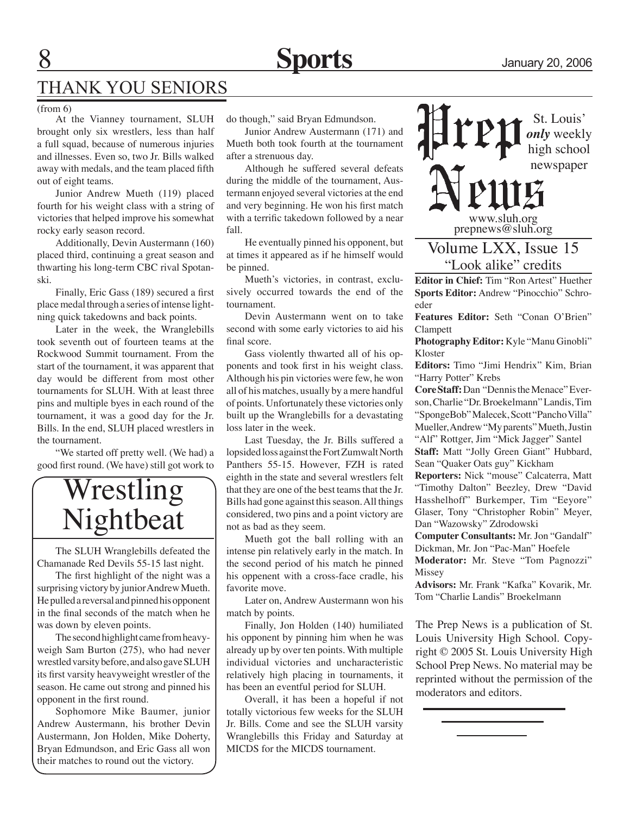

## THANK YOU SENIORS

(from 6)

At the Vianney tournament, SLUH brought only six wrestlers, less than half a full squad, because of numerous injuries and illnesses. Even so, two Jr. Bills walked away with medals, and the team placed fifth out of eight teams.

Junior Andrew Mueth (119) placed fourth for his weight class with a string of victories that helped improve his somewhat rocky early season record.

Additionally, Devin Austermann (160) placed third, continuing a great season and thwarting his long-term CBC rival Spotanski.

Finally, Eric Gass (189) secured a first place medal through a series of intense lightning quick takedowns and back points.

Later in the week, the Wranglebills took seventh out of fourteen teams at the Rockwood Summit tournament. From the start of the tournament, it was apparent that day would be different from most other tournaments for SLUH. With at least three pins and multiple byes in each round of the tournament, it was a good day for the Jr. Bills. In the end, SLUH placed wrestlers in the tournament.

"We started off pretty well. (We had) a good first round. (We have) still got work to

## Wrestling Nightbeat

The SLUH Wranglebills defeated the Chamanade Red Devils 55-15 last night.

The first highlight of the night was a surprising victory by junior Andrew Mueth. He pulled a reversal and pinned his opponent in the final seconds of the match when he was down by eleven points.

The second highlight came from heavyweigh Sam Burton (275), who had never wrestled varsity before, and also gave SLUH its first varsity heavyweight wrestler of the season. He came out strong and pinned his opponent in the first round.

Sophomore Mike Baumer, junior Andrew Austermann, his brother Devin Austermann, Jon Holden, Mike Doherty, Bryan Edmundson, and Eric Gass all won their matches to round out the victory.

do though," said Bryan Edmundson.

Junior Andrew Austermann (171) and Mueth both took fourth at the tournament after a strenuous day.

Although he suffered several defeats during the middle of the tournament, Austermann enjoyed several victories at the end and very beginning. He won his first match with a terrific takedown followed by a near fall.

He eventually pinned his opponent, but at times it appeared as if he himself would be pinned.

Mueth's victories, in contrast, exclusively occurred towards the end of the tournament.

Devin Austermann went on to take second with some early victories to aid his final score.

Gass violently thwarted all of his opponents and took first in his weight class. Although his pin victories were few, he won all of his matches, usually by a mere handful of points. Unfortunately these victories only built up the Wranglebills for a devastating loss later in the week.

Last Tuesday, the Jr. Bills suffered a lopsided loss against the Fort Zumwalt North Panthers 55-15. However, FZH is rated eighth in the state and several wrestlers felt that they are one of the best teams that the Jr. Bills had gone against this season. All things considered, two pins and a point victory are not as bad as they seem.

Mueth got the ball rolling with an intense pin relatively early in the match. In the second period of his match he pinned his oppenent with a cross-face cradle, his favorite move.

Later on, Andrew Austermann won his match by points.

Finally, Jon Holden (140) humiliated his opponent by pinning him when he was already up by over ten points. With multiple individual victories and uncharacteristic relatively high placing in tournaments, it has been an eventful period for SLUH.

Overall, it has been a hopeful if not totally victorious few weeks for the SLUH Jr. Bills. Come and see the SLUH varsity Wranglebills this Friday and Saturday at MICDS for the MICDS tournament.

St. Louis' *only* weekly high school newspaper www.sluh.org prepnews@sluh.org Volume LXX, Issue 15 "Look alike" credits

**Editor in Chief:** Tim "Ron Artest" Huether **Sports Editor:** Andrew "Pinocchio" Schroeder

**Features Editor:** Seth "Conan O'Brien" Clampett

**Photography Editor:** Kyle "Manu Ginobli" Kloster

**Editors:** Timo "Jimi Hendrix" Kim, Brian "Harry Potter" Krebs

**Core Staff:** Dan "Dennis the Menace" Everson, Charlie "Dr. Broekelmann" Landis, Tim "SpongeBob" Malecek, Scott "Pancho Villa" Mueller, Andrew "My parents" Mueth, Justin "Alf" Rottger, Jim "Mick Jagger" Santel

**Staff:** Matt "Jolly Green Giant" Hubbard, Sean "Quaker Oats guy" Kickham

**Reporters:** Nick "mouse" Calcaterra, Matt "Timothy Dalton" Beezley, Drew "David Hasshelhoff" Burkemper, Tim "Eeyore" Glaser, Tony "Christopher Robin" Meyer, Dan "Wazowsky" Zdrodowski

**Computer Consultants:** Mr. Jon "Gandalf" Dickman, Mr. Jon "Pac-Man" Hoefele

**Moderator:** Mr. Steve "Tom Pagnozzi" Missey

**Advisors:** Mr. Frank "Kafka" Kovarik, Mr. Tom "Charlie Landis" Broekelmann

The Prep News is a publication of St. Louis University High School. Copyright © 2005 St. Louis University High School Prep News. No material may be reprinted without the permission of the moderators and editors.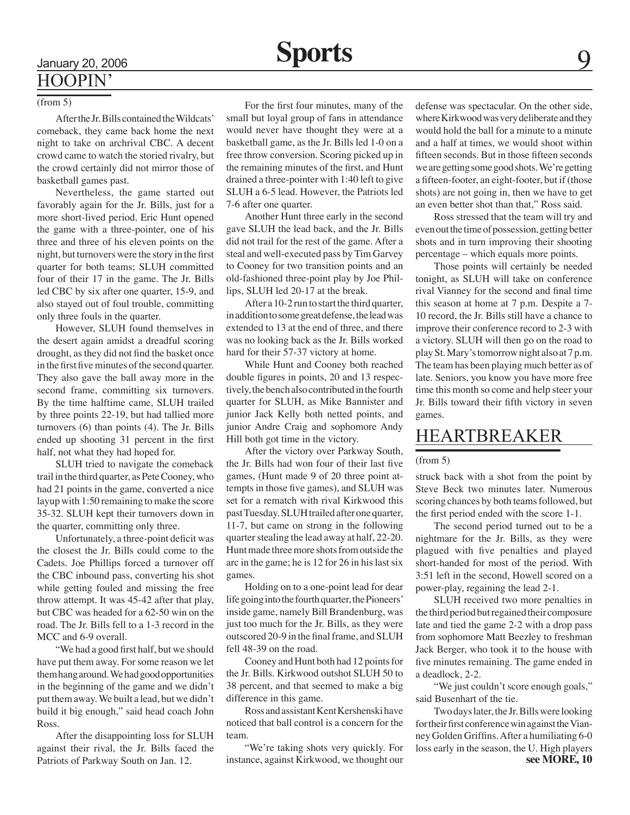### (from 5)

After the Jr. Bills contained the Wildcats' comeback, they came back home the next night to take on archrival CBC. A decent crowd came to watch the storied rivalry, but the crowd certainly did not mirror those of basketball games past.

Nevertheless, the game started out favorably again for the Jr. Bills, just for a more short-lived period. Eric Hunt opened the game with a three-pointer, one of his three and three of his eleven points on the night, but turnovers were the story in the first quarter for both teams; SLUH committed four of their 17 in the game. The Jr. Bills led CBC by six after one quarter, 15-9, and also stayed out of foul trouble, committing only three fouls in the quarter.

However, SLUH found themselves in the desert again amidst a dreadful scoring drought, as they did not find the basket once in the first five minutes of the second quarter. They also gave the ball away more in the second frame, committing six turnovers. By the time halftime came, SLUH trailed by three points 22-19, but had tallied more turnovers (6) than points (4). The Jr. Bills ended up shooting 31 percent in the first half, not what they had hoped for.

SLUH tried to navigate the comeback trail in the third quarter, as Pete Cooney, who had 21 points in the game, converted a nice layup with 1:50 remaining to make the score 35-32. SLUH kept their turnovers down in the quarter, committing only three.

Unfortunately, a three-point deficit was the closest the Jr. Bills could come to the Cadets. Joe Phillips forced a turnover off the CBC inbound pass, converting his shot while getting fouled and missing the free throw attempt. It was 45-42 after that play, but CBC was headed for a 62-50 win on the road. The Jr. Bills fell to a 1-3 record in the MCC and 6-9 overall.

"We had a good first half, but we should have put them away. For some reason we let them hang around. We had good opportunities in the beginning of the game and we didn't put them away. We built a lead, but we didn't build it big enough," said head coach John Ross.

After the disappointing loss for SLUH against their rival, the Jr. Bills faced the Patriots of Parkway South on Jan. 12.

For the first four minutes, many of the small but loyal group of fans in attendance would never have thought they were at a basketball game, as the Jr. Bills led 1-0 on a free throw conversion. Scoring picked up in the remaining minutes of the first, and Hunt drained a three-pointer with 1:40 left to give SLUH a 6-5 lead. However, the Patriots led 7-6 after one quarter.

Another Hunt three early in the second gave SLUH the lead back, and the Jr. Bills did not trail for the rest of the game. After a steal and well-executed pass by Tim Garvey to Cooney for two transition points and an old-fashioned three-point play by Joe Phillips, SLUH led 20-17 at the break.

After a 10-2 run to start the third quarter, in addition to some great defense, the lead was extended to 13 at the end of three, and there was no looking back as the Jr. Bills worked hard for their 57-37 victory at home.

While Hunt and Cooney both reached double figures in points, 20 and 13 respectively, the bench also contributed in the fourth quarter for SLUH, as Mike Bannister and junior Jack Kelly both netted points, and junior Andre Craig and sophomore Andy Hill both got time in the victory.

After the victory over Parkway South, the Jr. Bills had won four of their last five games, (Hunt made 9 of 20 three point attempts in those five games), and SLUH was set for a rematch with rival Kirkwood this past Tuesday. SLUH trailed after one quarter, 11-7, but came on strong in the following quarter stealing the lead away at half, 22-20. Hunt made three more shots from outside the arc in the game; he is 12 for 26 in his last six games.

Holding on to a one-point lead for dear life going into the fourth quarter, the Pioneers' inside game, namely Bill Brandenburg, was just too much for the Jr. Bills, as they were outscored 20-9 in the final frame, and SLUH fell 48-39 on the road.

Cooney and Hunt both had 12 points for the Jr. Bills. Kirkwood outshot SLUH 50 to 38 percent, and that seemed to make a big difference in this game.

Ross and assistant Kent Kershenski have noticed that ball control is a concern for the team.

"We're taking shots very quickly. For instance, against Kirkwood, we thought our defense was spectacular. On the other side, where Kirkwood was very deliberate and they would hold the ball for a minute to a minute and a half at times, we would shoot within fifteen seconds. But in those fifteen seconds we are getting some good shots. We're getting a fifteen-footer, an eight-footer, but if (those shots) are not going in, then we have to get an even better shot than that," Ross said.

Ross stressed that the team will try and even out the time of possession, getting better shots and in turn improving their shooting percentage – which equals more points.

Those points will certainly be needed tonight, as SLUH will take on conference rival Vianney for the second and final time this season at home at 7 p.m. Despite a 7- 10 record, the Jr. Bills still have a chance to improve their conference record to 2-3 with a victory. SLUH will then go on the road to play St. Mary's tomorrow night also at 7 p.m. The team has been playing much better as of late. Seniors, you know you have more free time this month so come and help steer your Jr. Bills toward their fifth victory in seven games.

## HEARTBREAKER

#### (from 5)

struck back with a shot from the point by Steve Beck two minutes later. Numerous scoring chances by both teams followed, but the first period ended with the score 1-1.

The second period turned out to be a nightmare for the Jr. Bills, as they were plagued with five penalties and played short-handed for most of the period. With 3:51 left in the second, Howell scored on a power-play, regaining the lead 2-1.

SLUH received two more penalties in the third period but regained their composure late and tied the game 2-2 with a drop pass from sophomore Matt Beezley to freshman Jack Berger, who took it to the house with five minutes remaining. The game ended in a deadlock, 2-2.

"We just couldn't score enough goals," said Busenhart of the tie.

Two days later, the Jr. Bills were looking for their first conference win against the Vianney Golden Griffins. After a humiliating 6-0 loss early in the season, the U. High players **see MORE, 10**